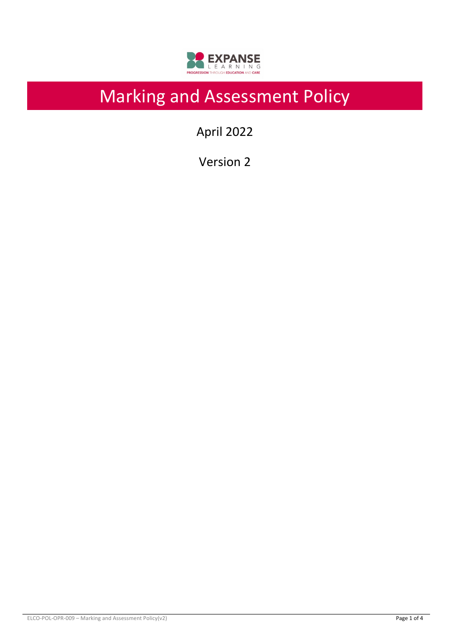

# Marking and Assessment Policy

April 2022

Version 2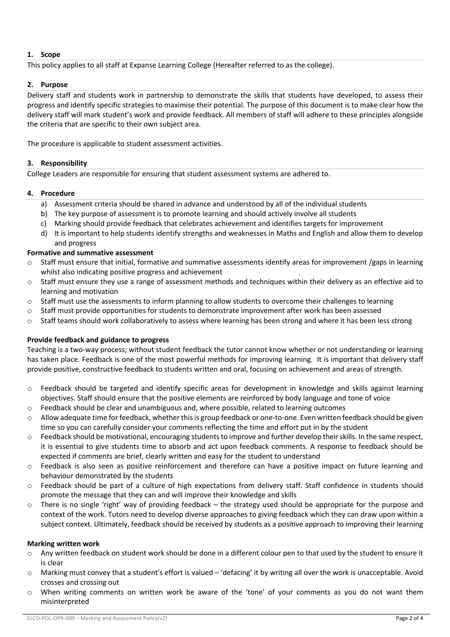# **1. Scope**

This policy applies to all staff at Expanse Learning College (Hereafter referred to as the college).

# **2. Purpose**

Delivery staff and students work in partnership to demonstrate the skills that students have developed, to assess their progress and identify specific strategies to maximise their potential. The purpose of this document is to make clear how the delivery staff will mark student's work and provide feedback. All members of staff will adhere to these principles alongside the criteria that are specific to their own subject area.

The procedure is applicable to student assessment activities.

# **3. Responsibility**

College Leaders are responsible for ensuring that student assessment systems are adhered to.

# **4. Procedure**

- a) Assessment criteria should be shared in advance and understood by all of the individual students
- b) The key purpose of assessment is to promote learning and should actively involve all students
- c) Marking should provide feedback that celebrates achievement and identifies targets for improvement
- d) It is important to help students identify strengths and weaknesses in Maths and English and allow them to develop and progress

# **Formative and summative assessment**

- $\circ$  Staff must ensure that initial, formative and summative assessments identify areas for improvement /gaps in learning whilst also indicating positive progress and achievement
- $\circ$  Staff must ensure they use a range of assessment methods and techniques within their delivery as an effective aid to learning and motivation
- o Staff must use the assessments to inform planning to allow students to overcome their challenges to learning
- o Staff must provide opportunities for students to demonstrate improvement after work has been assessed
- $\circ$  Staff teams should work collaboratively to assess where learning has been strong and where it has been less strong

#### **Provide feedback and guidance to progress**

Teaching is a two-way process; without student feedback the tutor cannot know whether or not understanding or learning has taken place. Feedback is one of the most powerful methods for improving learning. It is important that delivery staff provide positive, constructive feedback to students written and oral, focusing on achievement and areas of strength.

- o Feedback should be targeted and identify specific areas for development in knowledge and skills against learning objectives. Staff should ensure that the positive elements are reinforced by body language and tone of voice
- $\circ$  Feedback should be clear and unambiguous and, where possible, related to learning outcomes
- o Allow adequate time for feedback, whether this is group feedback or one-to-one. Even written feedback should be given time so you can carefully consider your comments reflecting the time and effort put in by the student
- o Feedback should be motivational, encouraging students to improve and further develop their skills. In the same respect, it is essential to give students time to absorb and act upon feedback comments. A response to feedback should be expected if comments are brief, clearly written and easy for the student to understand
- o Feedback is also seen as positive reinforcement and therefore can have a positive impact on future learning and behaviour demonstrated by the students
- o Feedback should be part of a culture of high expectations from delivery staff. Staff confidence in students should promote the message that they can and will improve their knowledge and skills
- $\circ$  There is no single 'right' way of providing feedback the strategy used should be appropriate for the purpose and context of the work. Tutors need to develop diverse approaches to giving feedback which they can draw upon within a subject context. Ultimately, feedback should be received by students as a positive approach to improving their learning

#### **Marking written work**

- o Any written feedback on student work should be done in a different colour pen to that used by the student to ensure it is clear
- o Marking must convey that a student's effort is valued 'defacing' it by writing all over the work is unacceptable. Avoid crosses and crossing out
- When writing comments on written work be aware of the 'tone' of your comments as you do not want them misinterpreted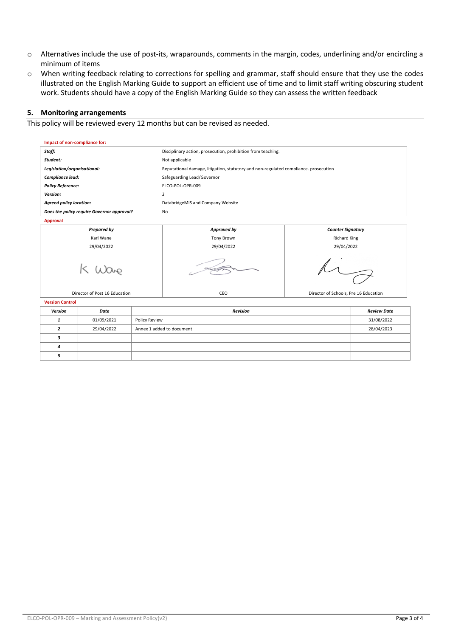- o Alternatives include the use of post-its, wraparounds, comments in the margin, codes, underlining and/or encircling a minimum of items
- o When writing feedback relating to corrections for spelling and grammar, staff should ensure that they use the codes illustrated on the English Marking Guide to support an efficient use of time and to limit staff writing obscuring student work. Students should have a copy of the English Marking Guide so they can assess the written feedback

#### **5. Monitoring arrangements**

This policy will be reviewed every 12 months but can be revised as needed.